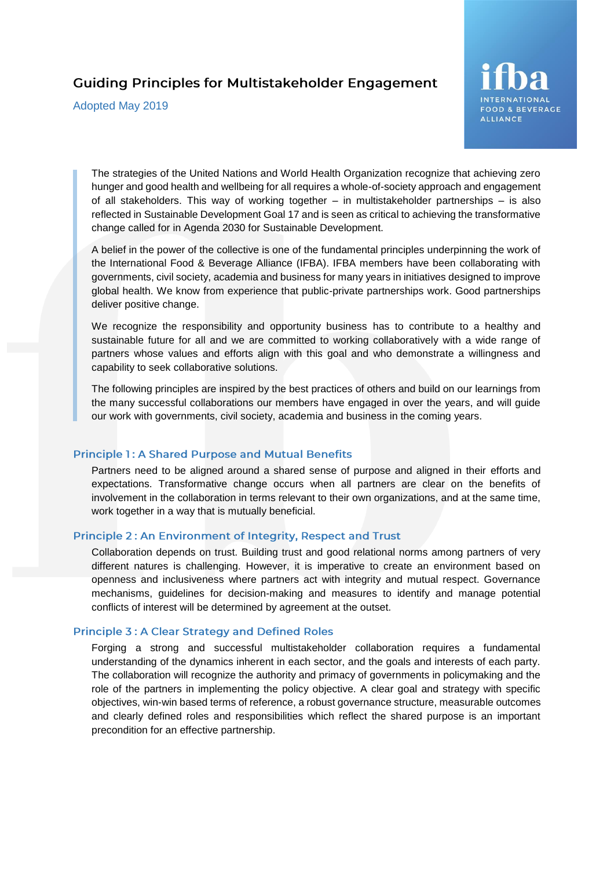# **Guiding Principles for Multistakeholder Engagement**

Adopted May 2019



The strategies of the United Nations and World Health Organization recognize that achieving zero hunger and good health and wellbeing for all requires a whole-of-society approach and engagement of all stakeholders. This way of working together – in multistakeholder partnerships – is also reflected in Sustainable Development Goal 17 and is seen as critical to achieving the transformative change called for in Agenda 2030 for Sustainable Development.

A belief in the power of the collective is one of the fundamental principles underpinning the work of the International Food & Beverage Alliance (IFBA). IFBA members have been collaborating with governments, civil society, academia and business for many years in initiatives designed to improve global health. We know from experience that public-private partnerships work. Good partnerships deliver positive change.

We recognize the responsibility and opportunity business has to contribute to a healthy and sustainable future for all and we are committed to working collaboratively with a wide range of partners whose values and efforts align with this goal and who demonstrate a willingness and capability to seek collaborative solutions.

The following principles are inspired by the best practices of others and build on our learnings from the many successful collaborations our members have engaged in over the years, and will guide our work with governments, civil society, academia and business in the coming years.

### **Principle 1: A Shared Purpose and Mutual Benefits**

Partners need to be aligned around a shared sense of purpose and aligned in their efforts and expectations. Transformative change occurs when all partners are clear on the benefits of involvement in the collaboration in terms relevant to their own organizations, and at the same time, work together in a way that is mutually beneficial.

### Principle 2: An Environment of Integrity, Respect and Trust

Collaboration depends on trust. Building trust and good relational norms among partners of very different natures is challenging. However, it is imperative to create an environment based on openness and inclusiveness where partners act with integrity and mutual respect. Governance mechanisms, guidelines for decision-making and measures to identify and manage potential conflicts of interest will be determined by agreement at the outset.

# **Principle 3: A Clear Strategy and Defined Roles**

Forging a strong and successful multistakeholder collaboration requires a fundamental understanding of the dynamics inherent in each sector, and the goals and interests of each party. The collaboration will recognize the authority and primacy of governments in policymaking and the role of the partners in implementing the policy objective. A clear goal and strategy with specific objectives, win-win based terms of reference, a robust governance structure, measurable outcomes and clearly defined roles and responsibilities which reflect the shared purpose is an important precondition for an effective partnership.